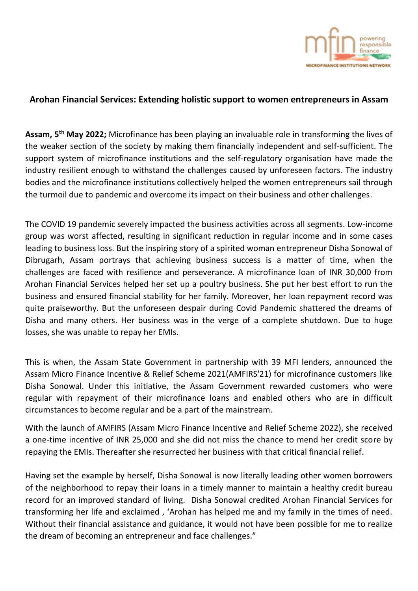

## **Arohan Financial Services: Extending holistic support to women entrepreneurs in Assam**

**Assam, 5 th May 2022;** Microfinance has been playing an invaluable role in transforming the lives of the weaker section of the society by making them financially independent and self-sufficient. The support system of microfinance institutions and the self-regulatory organisation have made the industry resilient enough to withstand the challenges caused by unforeseen factors. The industry bodies and the microfinance institutions collectively helped the women entrepreneurs sail through the turmoil due to pandemic and overcome its impact on their business and other challenges.

The COVID 19 pandemic severely impacted the business activities across all segments. Low-income group was worst affected, resulting in significant reduction in regular income and in some cases leading to business loss. But the inspiring story of a spirited woman entrepreneur Disha Sonowal of Dibrugarh, Assam portrays that achieving business success is a matter of time, when the challenges are faced with resilience and perseverance. A microfinance loan of INR 30,000 from Arohan Financial Services helped her set up a poultry business. She put her best effort to run the business and ensured financial stability for her family. Moreover, her loan repayment record was quite praiseworthy. But the unforeseen despair during Covid Pandemic shattered the dreams of Disha and many others. Her business was in the verge of a complete shutdown. Due to huge losses, she was unable to repay her EMIs.

This is when, the Assam State Government in partnership with 39 MFI lenders, announced the Assam Micro Finance Incentive & Relief Scheme 2021(AMFIRS'21) for microfinance customers like Disha Sonowal. Under this initiative, the Assam Government rewarded customers who were regular with repayment of their microfinance loans and enabled others who are in difficult circumstances to become regular and be a part of the mainstream.

With the launch of AMFIRS (Assam Micro Finance Incentive and Relief Scheme 2022), she received a one-time incentive of INR 25,000 and she did not miss the chance to mend her credit score by repaying the EMIs. Thereafter she resurrected her business with that critical financial relief.

Having set the example by herself, Disha Sonowal is now literally leading other women borrowers of the neighborhood to repay their loans in a timely manner to maintain a healthy credit bureau record for an improved standard of living. Disha Sonowal credited Arohan Financial Services for transforming her life and exclaimed , 'Arohan has helped me and my family in the times of need. Without their financial assistance and guidance, it would not have been possible for me to realize the dream of becoming an entrepreneur and face challenges."